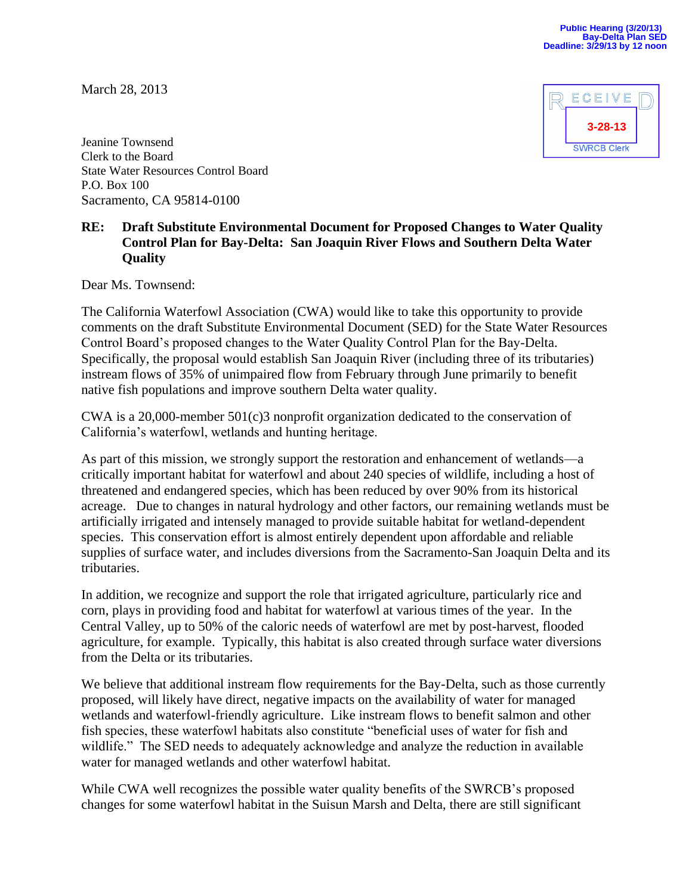March 28, 2013



Jeanine Townsend Clerk to the Board State Water Resources Control Board P.O. Box 100 Sacramento, CA 95814-0100

## **RE: Draft Substitute Environmental Document for Proposed Changes to Water Quality Control Plan for Bay-Delta: San Joaquin River Flows and Southern Delta Water Quality**

Dear Ms. Townsend:

The California Waterfowl Association (CWA) would like to take this opportunity to provide comments on the draft Substitute Environmental Document (SED) for the State Water Resources Control Board's proposed changes to the Water Quality Control Plan for the Bay-Delta. Specifically, the proposal would establish San Joaquin River (including three of its tributaries) instream flows of 35% of unimpaired flow from February through June primarily to benefit native fish populations and improve southern Delta water quality.

CWA is a 20,000-member 501(c)3 nonprofit organization dedicated to the conservation of California's waterfowl, wetlands and hunting heritage.

As part of this mission, we strongly support the restoration and enhancement of wetlands—a critically important habitat for waterfowl and about 240 species of wildlife, including a host of threatened and endangered species, which has been reduced by over 90% from its historical acreage. Due to changes in natural hydrology and other factors, our remaining wetlands must be artificially irrigated and intensely managed to provide suitable habitat for wetland-dependent species. This conservation effort is almost entirely dependent upon affordable and reliable supplies of surface water, and includes diversions from the Sacramento-San Joaquin Delta and its tributaries.

In addition, we recognize and support the role that irrigated agriculture, particularly rice and corn, plays in providing food and habitat for waterfowl at various times of the year. In the Central Valley, up to 50% of the caloric needs of waterfowl are met by post-harvest, flooded agriculture, for example. Typically, this habitat is also created through surface water diversions from the Delta or its tributaries.

We believe that additional instream flow requirements for the Bay-Delta, such as those currently proposed, will likely have direct, negative impacts on the availability of water for managed wetlands and waterfowl-friendly agriculture. Like instream flows to benefit salmon and other fish species, these waterfowl habitats also constitute "beneficial uses of water for fish and wildlife." The SED needs to adequately acknowledge and analyze the reduction in available water for managed wetlands and other waterfowl habitat.

While CWA well recognizes the possible water quality benefits of the SWRCB's proposed changes for some waterfowl habitat in the Suisun Marsh and Delta, there are still significant